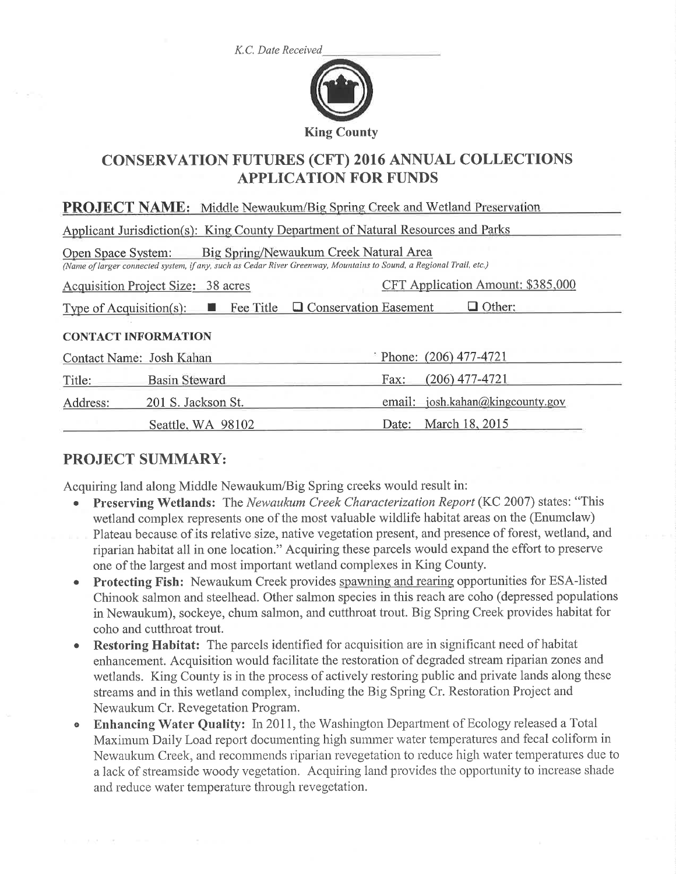K.C. Date Received



# **CONSERVATION FUTURES (CFT) 2016 ANNUAL COLLECTIONS APPLICATION FOR FUNDS**

| <b>PROJECT NAME:</b> Middle Newaukum/Big Spring Creek and Wetland Preservation                                                                                                      |                      |                                     |  |  |  |
|-------------------------------------------------------------------------------------------------------------------------------------------------------------------------------------|----------------------|-------------------------------------|--|--|--|
| Applicant Jurisdiction(s): King County Department of Natural Resources and Parks                                                                                                    |                      |                                     |  |  |  |
| Big Spring/Newaukum Creek Natural Area<br>Open Space System:<br>(Name of larger connected system, if any, such as Cedar River Greenway, Mountains to Sound, a Regional Trail, etc.) |                      |                                     |  |  |  |
| CFT Application Amount: \$385,000<br>Acquisition Project Size: 38 acres                                                                                                             |                      |                                     |  |  |  |
| Type of Acquisition(s): $\blacksquare$ Fee Title $\blacksquare$ Conservation Easement<br>$\Box$ Other:                                                                              |                      |                                     |  |  |  |
| <b>CONTACT INFORMATION</b>                                                                                                                                                          |                      |                                     |  |  |  |
| Contact Name: Josh Kahan                                                                                                                                                            |                      | Phone: $(206)$ 477-4721             |  |  |  |
| Title:                                                                                                                                                                              | <b>Basin Steward</b> | $(206)$ 477-4721<br>Fax:            |  |  |  |
| Address:                                                                                                                                                                            | 201 S. Jackson St.   | josh.kahan@kingcounty.gov<br>email: |  |  |  |
|                                                                                                                                                                                     | Seattle, WA 98102    | March 18, 2015<br>Date:             |  |  |  |

# **PROJECT SUMMARY:**

Acquiring land along Middle Newaukum/Big Spring creeks would result in:

- Preserving Wetlands: The Newaukum Creek Characterization Report (KC 2007) states: "This wetland complex represents one of the most valuable wildlife habitat areas on the (Enumclaw)
- Plateau because of its relative size, native vegetation present, and presence of forest, wetland, and riparian habitat all in one location." Acquiring these parcels would expand the effort to preserve one of the largest and most important wetland complexes in King County.
- **Protecting Fish:** Newaukum Creek provides spawning and rearing opportunities for ESA-listed Chinook salmon and steelhead. Other salmon species in this reach are coho (depressed populations in Newaukum), sockeye, chum salmon, and cutthroat trout. Big Spring Creek provides habitat for coho and cutthroat trout.
- **Restoring Habitat:** The parcels identified for acquisition are in significant need of habitat enhancement. Acquisition would facilitate the restoration of degraded stream riparian zones and wetlands. King County is in the process of actively restoring public and private lands along these streams and in this wetland complex, including the Big Spring Cr. Restoration Project and Newaukum Cr. Revegetation Program.
- **Enhancing Water Ouality:** In 2011, the Washington Department of Ecology released a Total  $\bullet$ Maximum Daily Load report documenting high summer water temperatures and fecal coliform in Newaukum Creek, and recommends riparian revegetation to reduce high water temperatures due to a lack of streamside woody vegetation. Acquiring land provides the opportunity to increase shade and reduce water temperature through revegetation.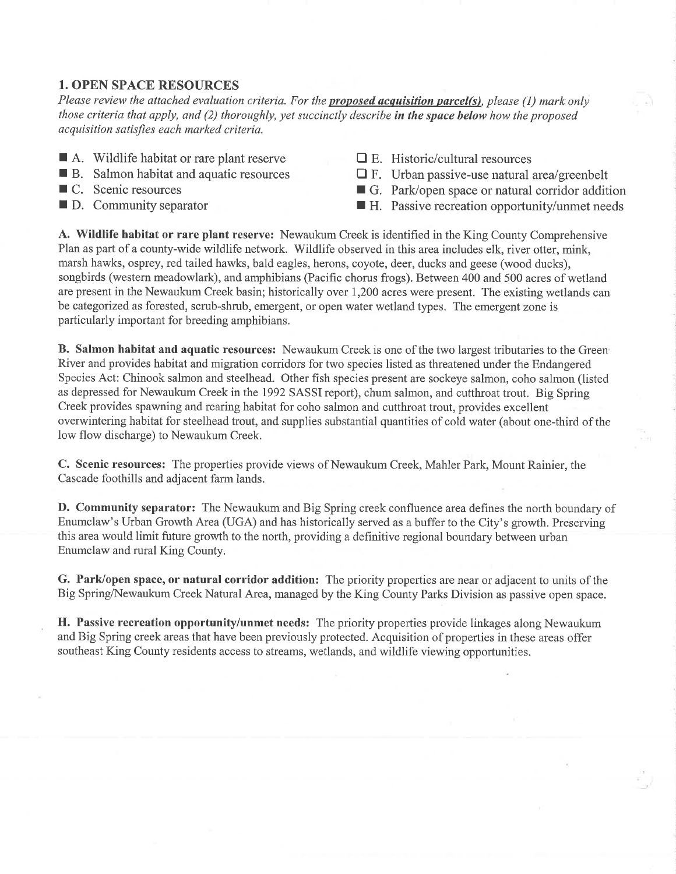# 1. OPEN SPACE RESOURCES

Please review the attached evaluation criteria. For the **proposed acquisition parcel(s)**, please (1) mark only those criteria that apply, and  $(2)$  thoroughly, yet succinctly describe in the space below how the proposed acquisition satisfies each marked criteria.

- A. Wildlife habitat or rare plant reserve B. Salmon habitat and aquatic resources
- 
- $\blacksquare$  C. Scenic resources
- $\blacksquare$  D. Community separator
- $\Box$  E. Historic/cultural resources
- $\Box$  F. Urban passive-use natural area/greenbelt
- G. Park/open space or natural corridor addition H. Passive recreation opportunity/unmet needs
- 

A. Wildlife habitat or rare plant reserve: Newaukum Creek is identified in the King County Comprehensive Plan as part of a county-wide wildlife network. Wildlife observed in this area includes elk, river otter, mink, marsh hawks, osprey, red tailed hawks, bald eagles, herons, coyote, deer, ducks and geese (wood ducks), songbirds (western meadowlark), and amphibians (Pacific chorus frogs). Between 400 and 500 acres of wetland are present in the Newaukum Creek basin; historically over 1,200 acres were present. The existing wetlands can be categorized as forested, scrub-shrub, emergent, or open water wetland types. The emergent zone is particularly important for breeding amphibians.

**B.** Salmon habitat and aquatic resources: Newaukum Creek is one of the two largest tributaries to the Green River and provides habitat and migration corridors for two species listed as threatened under the Endangered Species Act: Chinook salmon and steelhead. Other fish species present are sockeye salmon, coho salmon (listed as depressed for Newaukum Creek in the 1992 SASSI report), chum salmon, and cutthroat trout. Big Spring Creek provides spawning and rearing habitat for coho salmon and cutthroat trout, provides excellent overwintering habitat for steelhead trout, and supplies substantial quantities of cold water (about one-third of the low flow discharge) to Newaukum Creek.

C. Scenic resources: The properties provide views of Newaukum Creek, Mahler Park, Mount Rainier, the Cascade foothills and adjacent farm lands.

D. Community separator: The Newaukum and Big Spring creek confluence area defines the north boundary of Enumclaw's Urban Growth Area (UGA) and has historically served as a buffer to the City's growth. Preserving this area would limit future growth to the north, providing a definitive regional boundary between urban Enumclaw and rural King County,

G. Park/open space, or natural corridor addition: The priority properties are near or adjacent to units of the Big Spring/Newaukum Creek Natural Area, managed by the King County Parks Division as passive open space.

H. Passive recreation opportunity/unmet needs: The priority properties provide linkages along Newaukum and Big Spring creek areas that have been previously protected. Acquisition of properties in these areas offer southeast King County residents access to streams, wetlands, and wildlife viewing opportunities.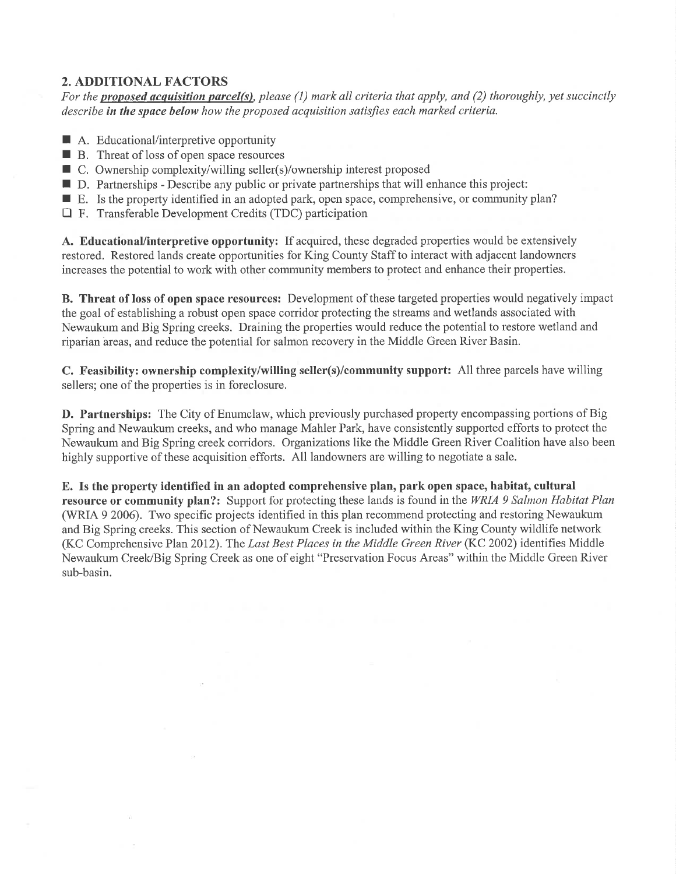# 2. ADDITIONAL FACTORS

For the proposed acquisition parcel(s), please  $(1)$  mark all criteria that apply, and  $(2)$  thoroughly, yet succinctly describe in the space below how the proposed acquisition satisfies each marked criteria.

- A. Educational/interpretive opportunity
- $\blacksquare$  T. Educational interpretty opportunity  $\blacksquare$  B. Threat of loss of open space resources
- B. Tilleat of loss of open space resources<br>■ C. Ownership complexity/willing seller(s)/ownership interest proposed
- D. Partnerships Describe any public or private partnerships that will enhance this project:
- E. Is the property identified in an adopted park, open space, comprehensive, or community plan?
- $\Box$  F. Transferable Development Credits (TDC) participation

A. Educational/interpretive opportunity: If acquired, these degraded properties would be extensively restored. Restored lands create opportunities for King County Staff to interact with adjacent landowners increases the potential to work with other community members to protect and enhance their properties.

B. Threat of loss of open space resources: Development of these targeted properties would negatively impact the goal of establishing a robust open space corridor protecting the streams and wetlands associated with Newaukum and Big Spring creeks. Draining the properties would reduce the potential to restore wetland and riparian areas, and reduce the potential for salmon recovery in the Middle Green River Basin.

C. Feasibility: ownership complexity/willing seller(s)/community support: A1l three parcels have willing sellers; one of the properties is in foreclosure.

D. Partnerships: The City of Enumclaw, which previously purchased property encompassing portions of Big Spring and Newaukum creeks, and who manage Mahler Park, have consistently supported efforts to protect the Newaukum and Big Spring creek corridors. Organizations like the Middle Green River Coalition have also been highly supportive of these acquisition efforts. All landowners are willing to negotiate a sale.

E. Is the property identified in an adopted comprehensive plan, park open space, habitat, cultural resource or community plan?: Support for protecting these lands is found in the WRIA 9 Salmon Habitat Plan (WRIA 9 2006). Two specific projects identified in this plan recommend protecting and restoring Newaukum and Big Spring creeks. This section of Newaukum Creek is included within the King County wildlife network (KC Comprehensive Plan 2012). The Last Best Places in the Middle Green River (KC 2002) identifies Middle Newaukum Creek/Big Spring Creek as one of eight "Preservation Focus Areas" within the Middle Green River sub-basin.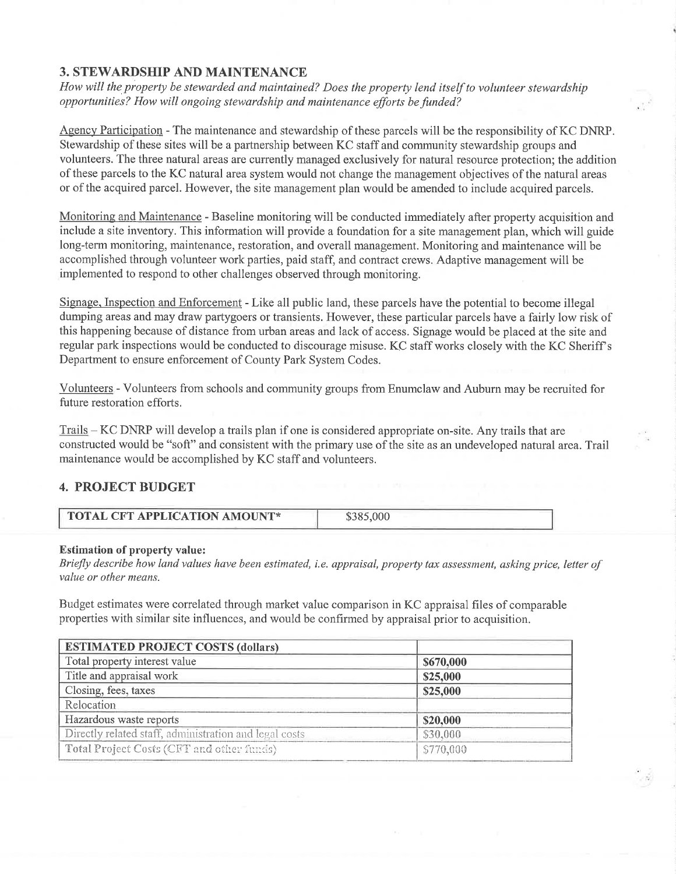# **3. STEWARDSHIP AND MAINTENANCE**

How will the property be stewarded and maintained? Does the property lend itself to volunteer stewardship opportunities? How will ongoing stewardship and maintenance efforts befunded?

Agency Participation - The maintenance and stewardship of these parcels will be the responsibility of KC DNRP. Stewardship of these sites will be a partnership between KC staff and community stewardship groups and volunteers. The three natural areas are currently managed exclusively for natural resource protection; the addition of these parcels to the KC natural area system would not change the management objectives of the natural areas or of the acquired parcel. However, the site management plan would be amended to include acquired parcels.

Monitoring and Maintenance - Baseline monitoring will be conducted immediately after property acquisition and include a site inventory. This information will provide a foundation for a site management plan, which will guide long-term monitoring, maintenance, restoration, and overall management. Monitoring and maintenance will be accomplished through volunteer work parties, paid staff, and contract crews. Adaptive management will be implemented to respond to other challenges observed through monitoring.

Signage. Inspection and Enforcement - Like all public land, these parcels have the potential to become illegal dumping areas and may draw partygoers or transients. However, these particular parcels have a fairly low risk of this happening because of distance from urban areas and lack of access. Signage would be placed at the site and regular park inspections would be conducted to discourage misuse. KC staff works closely with the KC Sheriff's Department to ensure enforcement of County Park System Codes.

Volunteers - Volunteers from schools and community groups from Enumclaw and Auburn may be recruited for future restoration efforts.

Trails - KC DNRP will develop a trails plan if one is considered appropriate on-site. Any trails that are constructed would be "soft" and consistent with the primary use of the site as an undeveloped natural area. Trail maintenance would be accomplished by KC staff and volunteers.

## 4. PROJECT BUDGET

| <b>TOTAL CFT APPLICATION AMOUNT*</b> | \$385,000 |
|--------------------------------------|-----------|
|--------------------------------------|-----------|

#### Estimation of property value:

Briefly describe how land values have been estimated, i.e. appraisal, property tax assessment, asking price, letter of value or other means.

Budget estimates were correlated through market value comparison in KC appraisal files of comparable properties with similar site influences, and would be confirmed by appraisal prior to acquisition.

| <b>ESTIMATED PROJECT COSTS (dollars)</b>               |           |  |  |  |
|--------------------------------------------------------|-----------|--|--|--|
| Total property interest value                          | \$670,000 |  |  |  |
| Title and appraisal work                               | \$25,000  |  |  |  |
| Closing, fees, taxes                                   | \$25,000  |  |  |  |
| Relocation                                             |           |  |  |  |
| Hazardous waste reports                                | \$20,000  |  |  |  |
| Directly related staff, administration and legal costs | \$30,000  |  |  |  |
| Total Project Costs (CFT and other funds)              | \$770,000 |  |  |  |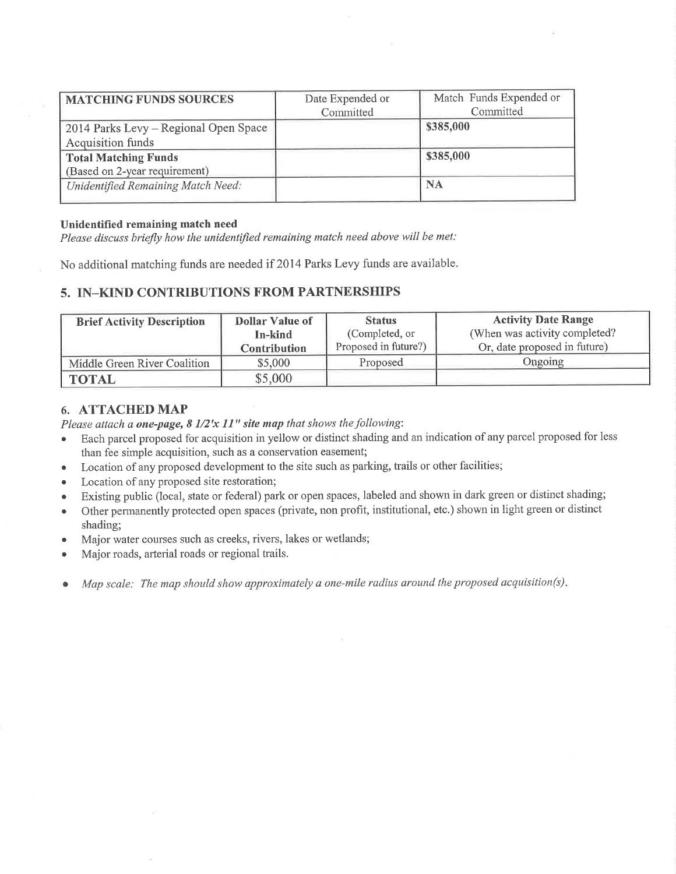| <b>MATCHING FUNDS SOURCES</b>         | Date Expended or | Match Funds Expended or |
|---------------------------------------|------------------|-------------------------|
|                                       | Committed        | Committed               |
| 2014 Parks Levy – Regional Open Space |                  | \$385,000               |
| Acquisition funds                     |                  |                         |
| <b>Total Matching Funds</b>           |                  | \$385,000               |
| (Based on 2-year requirement)         |                  |                         |
| Unidentified Remaining Match Need:    |                  | <b>NA</b>               |
|                                       |                  |                         |

#### Unidentified remaining match need

Please discuss briefly how the unidentified remaining match need above will be met:

No additional matching funds are needed if 2014 Parks Levy funds are available.

## 5. IN-KIND CONTRIBUTIONS FROM PARTNERSHIPS

| <b>Brief Activity Description</b> | Dollar Value of     | <b>Status</b>        | <b>Activity Date Range</b>     |
|-----------------------------------|---------------------|----------------------|--------------------------------|
|                                   | In-kind             | (Completed, or       | (When was activity completed?) |
|                                   | <b>Contribution</b> | Proposed in future?) | Or, date proposed in future)   |
| Middle Green River Coalition      | \$5,000             | Proposed             | Ongoing                        |
| <b>TOTAL</b>                      | \$5,000             |                      |                                |

## 6. ATTACHED MAP

Please attach a one-page,  $8\frac{1}{2}x\frac{1}{y}$  site map that shows the following:

- o Each parcel proposed for acquisition in yellow or distinct shading and an indication ofany parcel proposed for less than fee simple acquisition, such as a conservation easement;
- o Location of any proposed development to the site such as parking, trails or other facilities;
- Location of any proposed site restoration;
- o Existing public (local, state or federal) park or open spaces, labeled and shown in dark green or distinct shading;
- o Other pennanently protected open spaces (private, non profit, institutional, etc.) shown in light green or distinct shading;
- . Major water courses such as creeks, rivers, lakes or wetlands;
- o Major roads, arlerial roads or regional trails.
- Map scale: The map should show approximately a one-mile radius around the proposed acquisition(s).  $\bullet$